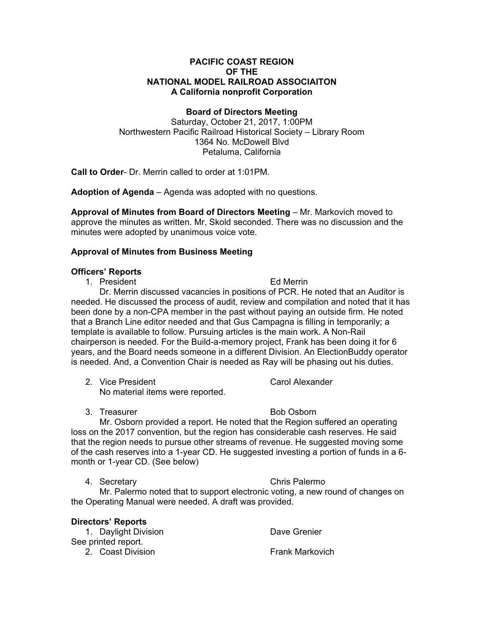### **PACIFIC COAST REGION OF THE NATIONAL MODEL RAILROAD ASSOCIAITON A California nonprofit Corporation**

### **Board of Directors Meeting**

Saturday, October 21, 2017, 1:00PM Northwestern Pacific Railroad Historical Society – Library Room 1364 No. McDowell Blvd Petaluma, California

**Call to Order**- Dr. Merrin called to order at 1:01PM.

**Adoption of Agenda** – Agenda was adopted with no questions.

**Approval of Minutes from Board of Directors Meeting** – Mr. Markovich moved to approve the minutes as written. Mr, Skold seconded. There was no discussion and the minutes were adopted by unanimous voice vote.

# **Approval of Minutes from Business Meeting**

### **Officers' Reports**

1. President **Ed Merrin** 

Dr. Merrin discussed vacancies in positions of PCR. He noted that an Auditor is needed. He discussed the process of audit, review and compilation and noted that it has been done by a non-CPA member in the past without paying an outside firm. He noted that a Branch Line editor needed and that Gus Campagna is filling in temporarily; a template is available to follow. Pursuing articles is the main work. A Non-Rail chairperson is needed. For the Build-a-memory project, Frank has been doing it for 6 years, and the Board needs someone in a different Division. An ElectionBuddy operator is needed. And, a Convention Chair is needed as Ray will be phasing out his duties.

- 2. Vice President **Carol Alexander** No material items were reported.
- 3. Treasurer and the Bob Osborn

Mr. Osborn provided a report. He noted that the Region suffered an operating loss on the 2017 convention, but the region has considerable cash reserves. He said that the region needs to pursue other streams of revenue. He suggested moving some of the cash reserves into a 1-year CD. He suggested investing a portion of funds in a 6 month or 1-year CD. (See below)

4. Secretary Chris Palermo

Mr. Palermo noted that to support electronic voting, a new round of changes on the Operating Manual were needed. A draft was provided.

| Directors' Reports   |                        |
|----------------------|------------------------|
| 1. Daylight Division | Dave Grenier           |
| See printed report.  |                        |
| 2. Coast Division    | <b>Frank Markovich</b> |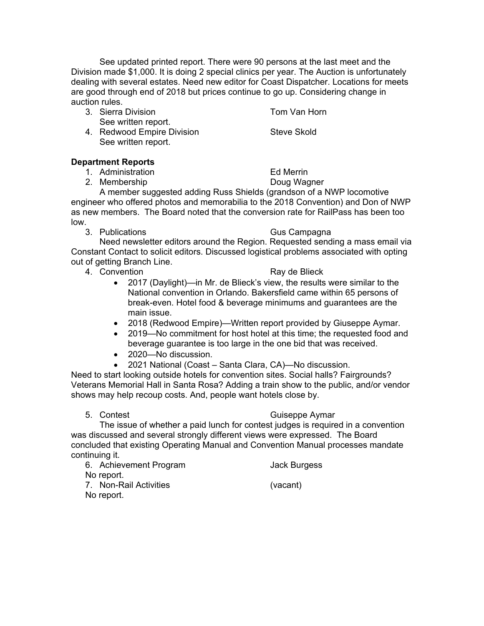See updated printed report. There were 90 persons at the last meet and the Division made \$1,000. It is doing 2 special clinics per year. The Auction is unfortunately dealing with several estates. Need new editor for Coast Dispatcher. Locations for meets are good through end of 2018 but prices continue to go up. Considering change in auction rules.

- 3. Sierra Division **Tom Van Horn** See written report.
- 4. Redwood Empire Division Steve Skold See written report.

# **Department Reports**

1. Administration Ed Merrin

2. Membership Doug Wagner

A member suggested adding Russ Shields (grandson of a NWP locomotive engineer who offered photos and memorabilia to the 2018 Convention) and Don of NWP as new members. The Board noted that the conversion rate for RailPass has been too low.

3. Publications **Gus Campagna** 

Need newsletter editors around the Region. Requested sending a mass email via Constant Contact to solicit editors. Discussed logistical problems associated with opting out of getting Branch Line.

4. Convention **Ray de Blieck** 

- 2017 (Daylight)—in Mr. de Blieck's view, the results were similar to the National convention in Orlando. Bakersfield came within 65 persons of break-even. Hotel food & beverage minimums and guarantees are the main issue.
- 2018 (Redwood Empire)—Written report provided by Giuseppe Aymar.
- 2019—No commitment for host hotel at this time; the requested food and beverage guarantee is too large in the one bid that was received.
- 2020—No discussion.
- 2021 National (Coast Santa Clara, CA)—No discussion.

Need to start looking outside hotels for convention sites. Social halls? Fairgrounds? Veterans Memorial Hall in Santa Rosa? Adding a train show to the public, and/or vendor shows may help recoup costs. And, people want hotels close by.

# 5. Contest Guiseppe Aymar

The issue of whether a paid lunch for contest judges is required in a convention was discussed and several strongly different views were expressed. The Board concluded that existing Operating Manual and Convention Manual processes mandate continuing it.

6. Achievement Program Jack Burgess No report. 7. Non-Rail Activities (vacant) No report.

- 
-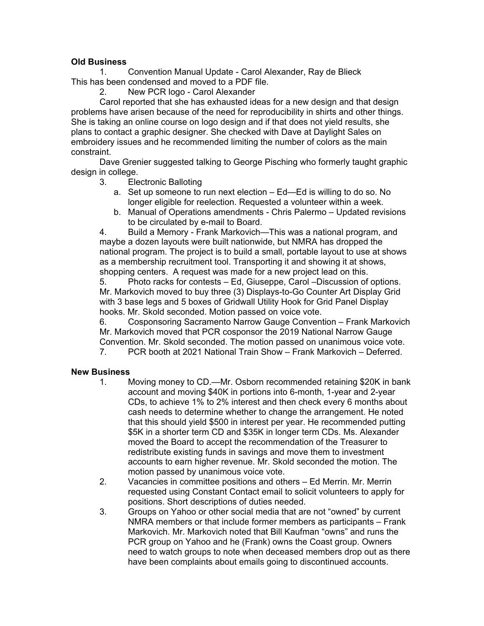# **Old Business**

1. Convention Manual Update - Carol Alexander, Ray de Blieck This has been condensed and moved to a PDF file.

2. New PCR logo - Carol Alexander

Carol reported that she has exhausted ideas for a new design and that design problems have arisen because of the need for reproducibility in shirts and other things. She is taking an online course on logo design and if that does not yield results, she plans to contact a graphic designer. She checked with Dave at Daylight Sales on embroidery issues and he recommended limiting the number of colors as the main constraint.

Dave Grenier suggested talking to George Pisching who formerly taught graphic design in college.

- 3. Electronic Balloting
	- a. Set up someone to run next election Ed—Ed is willing to do so. No longer eligible for reelection. Requested a volunteer within a week.
	- b. Manual of Operations amendments Chris Palermo Updated revisions to be circulated by e-mail to Board.

4. Build a Memory - Frank Markovich—This was a national program, and maybe a dozen layouts were built nationwide, but NMRA has dropped the national program. The project is to build a small, portable layout to use at shows as a membership recruitment tool. Transporting it and showing it at shows, shopping centers. A request was made for a new project lead on this.

5. Photo racks for contests – Ed, Giuseppe, Carol –Discussion of options. Mr. Markovich moved to buy three (3) Displays-to-Go Counter Art Display Grid with 3 base legs and 5 boxes of Gridwall Utility Hook for Grid Panel Display hooks. Mr. Skold seconded. Motion passed on voice vote.

6. Cosponsoring Sacramento Narrow Gauge Convention – Frank Markovich Mr. Markovich moved that PCR cosponsor the 2019 National Narrow Gauge Convention. Mr. Skold seconded. The motion passed on unanimous voice vote.

7. PCR booth at 2021 National Train Show – Frank Markovich – Deferred.

# **New Business**

- 1. Moving money to CD.—Mr. Osborn recommended retaining \$20K in bank account and moving \$40K in portions into 6-month, 1-year and 2-year CDs, to achieve 1% to 2% interest and then check every 6 months about cash needs to determine whether to change the arrangement. He noted that this should yield \$500 in interest per year. He recommended putting \$5K in a shorter term CD and \$35K in longer term CDs. Ms. Alexander moved the Board to accept the recommendation of the Treasurer to redistribute existing funds in savings and move them to investment accounts to earn higher revenue. Mr. Skold seconded the motion. The motion passed by unanimous voice vote.
- 2. Vacancies in committee positions and others Ed Merrin. Mr. Merrin requested using Constant Contact email to solicit volunteers to apply for positions. Short descriptions of duties needed.
- 3. Groups on Yahoo or other social media that are not "owned" by current NMRA members or that include former members as participants – Frank Markovich. Mr. Markovich noted that Bill Kaufman "owns" and runs the PCR group on Yahoo and he (Frank) owns the Coast group. Owners need to watch groups to note when deceased members drop out as there have been complaints about emails going to discontinued accounts.